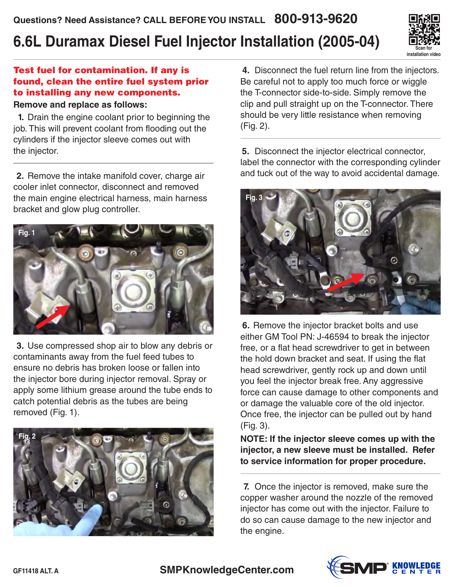# **6.6L Duramax Diesel Fuel Injector Installation (2005-04)**



## Test fuel for contamination. If any is found, clean the entire fuel system prior to installing any new components.

#### **Remove and replace as follows:**

 **1.** Drain the engine coolant prior to beginning the job. This will prevent coolant from flooding out the cylinders if the injector sleeve comes out with the injector.

 **2.** Remove the intake manifold cover, charge air cooler inlet connector, disconnect and removed the main engine electrical harness, main harness bracket and glow plug controller.



 **3.** Use compressed shop air to blow any debris or contaminants away from the fuel feed tubes to ensure no debris has broken loose or fallen into the injector bore during injector removal. Spray or apply some lithium grease around the tube ends to catch potential debris as the tubes are being removed (Fig. 1).



 **4.** Disconnect the fuel return line from the injectors. Be careful not to apply too much force or wiggle the T-connector side-to-side. Simply remove the clip and pull straight up on the T-connector. There should be very little resistance when removing (Fig. 2).

 **5.** Disconnect the injector electrical connector, label the connector with the corresponding cylinder and tuck out of the way to avoid accidental damage.



 **6.** Remove the injector bracket bolts and use either GM Tool PN: J-46594 to break the injector free, or a flat head screwdriver to get in between the hold down bracket and seat. If using the flat head screwdriver, gently rock up and down until you feel the injector break free. Any aggressive force can cause damage to other components and or damage the valuable core of the old injector. Once free, the injector can be pulled out by hand (Fig. 3).

**NOTE: If the injector sleeve comes up with the injector, a new sleeve must be installed. Refer to service information for proper procedure.**

 **7.** Once the injector is removed, make sure the copper washer around the nozzle of the removed injector has come out with the injector. Failure to do so can cause damage to the new injector and the engine.

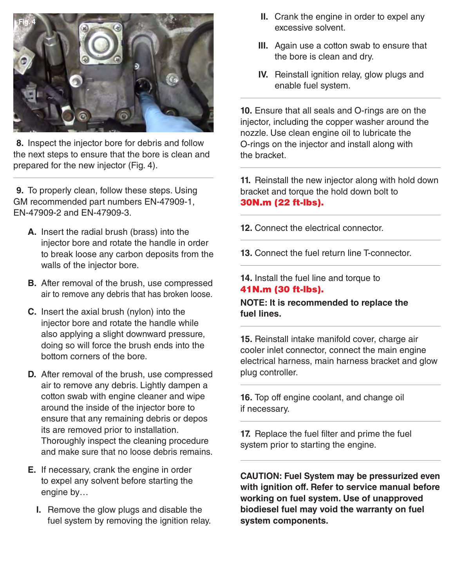

 **8.** Inspect the injector bore for debris and follow the next steps to ensure that the bore is clean and prepared for the new injector (Fig. 4).

 **9.** To properly clean, follow these steps. Using GM recommended part numbers EN-47909-1, EN-47909-2 and EN-47909-3.

- **A.** Insert the radial brush (brass) into the injector bore and rotate the handle in order to break loose any carbon deposits from the walls of the injector bore.
- **B.** After removal of the brush, use compressed air to remove any debris that has broken loose.
- **C.** Insert the axial brush (nylon) into the injector bore and rotate the handle while also applying a slight downward pressure, doing so will force the brush ends into the bottom corners of the bore.
- **D.** After removal of the brush, use compressed air to remove any debris. Lightly dampen a cotton swab with engine cleaner and wipe around the inside of the injector bore to ensure that any remaining debris or depos its are removed prior to installation. Thoroughly inspect the cleaning procedure and make sure that no loose debris remains.
- **E.** If necessary, crank the engine in order to expel any solvent before starting the engine by…
	- **I.** Remove the glow plugs and disable the fuel system by removing the ignition relay.
- **II.** Crank the engine in order to expel any excessive solvent.
- **III.** Again use a cotton swab to ensure that the bore is clean and dry.
- **IV.** Reinstall ignition relay, glow plugs and enable fuel system.

 **10.** Ensure that all seals and O-rings are on the injector, including the copper washer around the nozzle. Use clean engine oil to lubricate the O-rings on the injector and install along with the bracket.

 **11.** Reinstall the new injector along with hold down bracket and torque the hold down bolt to 30N.m (22 ft-lbs).

- **12.** Connect the electrical connector.
- **13.** Connect the fuel return line T-connector.

## **14.** Install the fuel line and torque to 41N.m (30 ft-lbs).

#### **NOTE: It is recommended to replace the fuel lines.**

**15.** Reinstall intake manifold cover, charge air cooler inlet connector, connect the main engine electrical harness, main harness bracket and glow plug controller.

**16.** Top off engine coolant, and change oil if necessary.

**17.** Replace the fuel filter and prime the fuel system prior to starting the engine.

**CAUTION: Fuel System may be pressurized even with ignition off. Refer to service manual before working on fuel system. Use of unapproved biodiesel fuel may void the warranty on fuel system components.**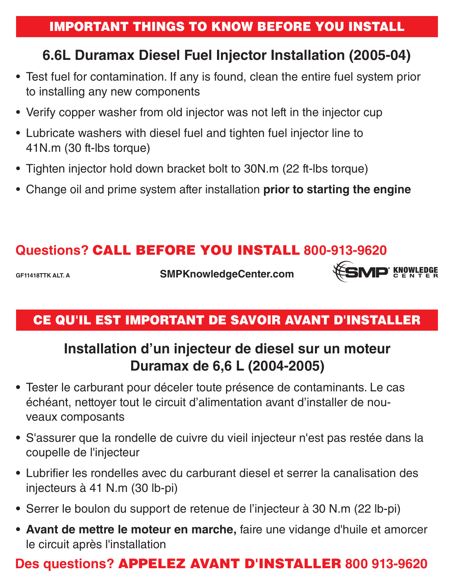## IMPORTANT THINGS TO KNOW BEFORE YOU INSTALL

# **6.6L Duramax Diesel Fuel Injector Installation (2005-04)**

- Test fuel for contamination. If any is found, clean the entire fuel system prior to installing any new components
- Verify copper washer from old injector was not left in the injector cup
- Lubricate washers with diesel fuel and tighten fuel injector line to 41N.m (30 ft-lbs torque)
- Tighten injector hold down bracket bolt to 30N.m (22 ft-lbs torque)
- Change oil and prime system after installation **prior to starting the engine**

## **Questions?** CALL BEFORE YOU INSTALL **800-913-9620**

**GF11418TTK ALT. A**

**SMPKnowledgeCenter.com**



## CE QU'IL EST IMPORTANT DE SAVOIR AVANT D'INSTALLER

# **Installation d'un injecteur de diesel sur un moteur Duramax de 6,6 L (2004-2005)**

- **•** Tester le carburant pour déceler toute présence de contaminants. Le cas échéant, nettoyer tout le circuit d'alimentation avant d'installer de nou veaux composants
- **•** S'assurer que la rondelle de cuivre du vieil injecteur n'est pas restée dans la coupelle de l'injecteur
- **•** Lubrifier les rondelles avec du carburant diesel et serrer la canalisation des injecteurs à 41 N.m (30 lb-pi)
- **•** Serrer le boulon du support de retenue de l'injecteur à 30 N.m (22 lb-pi)
- **• Avant de mettre le moteur en marche,** faire une vidange d'huile et amorcer le circuit après l'installation

## **Des questions?** APPELEZ AVANT D'INSTALLER **800 913-9620**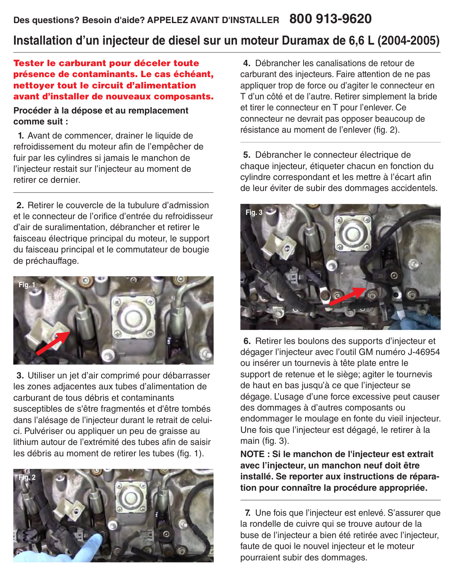## **Installation d'un injecteur de diesel sur un moteur Duramax de 6,6 L (2004-2005)**

### Tester le carburant pour déceler toute présence de contaminants. Le cas échéant, nettoyer tout le circuit d'alimentation avant d'installer de nouveaux composants.

#### **Procéder à la dépose et au remplacement comme suit :**

 **1.** Avant de commencer, drainer le liquide de refroidissement du moteur afin de l'empêcher de fuir par les cylindres si jamais le manchon de l'injecteur restait sur l'injecteur au moment de retirer ce dernier.

 **2.** Retirer le couvercle de la tubulure d'admission et le connecteur de l'orifice d'entrée du refroidisseur d'air de suralimentation, débrancher et retirer le faisceau électrique principal du moteur, le support du faisceau principal et le commutateur de bougie de préchauffage.



 **3.** Utiliser un jet d'air comprimé pour débarrasser les zones adjacentes aux tubes d'alimentation de carburant de tous débris et contaminants susceptibles de s'être fragmentés et d'être tombés dans l'alésage de l'injecteur durant le retrait de celuici. Pulvériser ou appliquer un peu de graisse au lithium autour de l'extrémité des tubes afin de saisir les débris au moment de retirer les tubes (fig. 1).



 **4.** Débrancher les canalisations de retour de carburant des injecteurs. Faire attention de ne pas appliquer trop de force ou d'agiter le connecteur en T d'un côté et de l'autre. Retirer simplement la bride et tirer le connecteur en T pour l'enlever. Ce connecteur ne devrait pas opposer beaucoup de résistance au moment de l'enlever (fig. 2).

 **5.** Débrancher le connecteur électrique de chaque injecteur, étiqueter chacun en fonction du cylindre correspondant et les mettre à l'écart afin de leur éviter de subir des dommages accidentels.



 **6.** Retirer les boulons des supports d'injecteur et dégager l'injecteur avec l'outil GM numéro J-46954 ou insérer un tournevis à tête plate entre le support de retenue et le siège; agiter le tournevis de haut en bas jusqu'à ce que l'injecteur se dégage. L'usage d'une force excessive peut causer des dommages à d'autres composants ou endommager le moulage en fonte du vieil injecteur. Une fois que l'injecteur est dégagé, le retirer à la main (fig. 3).

**NOTE : Si le manchon de l'injecteur est extrait avec l'injecteur, un manchon neuf doit être installé. Se reporter aux instructions de réparation pour connaître la procédure appropriée.**

 **7.** Une fois que l'injecteur est enlevé. S'assurer que la rondelle de cuivre qui se trouve autour de la buse de l'injecteur a bien été retirée avec l'injecteur, faute de quoi le nouvel injecteur et le moteur pourraient subir des dommages.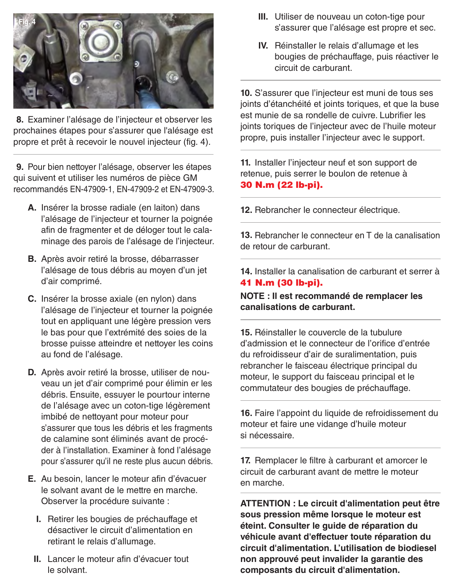

 **8.** Examiner l'alésage de l'injecteur et observer les prochaines étapes pour s'assurer que l'alésage est propre et prêt à recevoir le nouvel injecteur (fig. 4).

 **9.** Pour bien nettoyer l'alésage, observer les étapes qui suivent et utiliser les numéros de pièce GM recommandés EN-47909-1, EN-47909-2 et EN-47909-3.

- **A.** Insérer la brosse radiale (en laiton) dans l'alésage de l'injecteur et tourner la poignée afin de fragmenter et de déloger tout le cala minage des parois de l'alésage de l'injecteur.
- **B.** Après avoir retiré la brosse, débarrasser l'alésage de tous débris au moyen d'un jet d'air comprimé.
- **C.** Insérer la brosse axiale (en nylon) dans l'alésage de l'injecteur et tourner la poignée tout en appliquant une légère pression vers le bas pour que l'extrémité des soies de la brosse puisse atteindre et nettoyer les coins au fond de l'alésage.
- **D.** Après avoir retiré la brosse, utiliser de nou veau un jet d'air comprimé pour élimin er les débris. Ensuite, essuyer le pourtour interne de l'alésage avec un coton-tige légèrement imbibé de nettoyant pour moteur pour s'assurer que tous les débris et les fragments de calamine sont éliminés avant de procé der à l'installation. Examiner à fond l'alésage pour s'assurer qu'il ne reste plus aucun débris.
- **E.** Au besoin, lancer le moteur afin d'évacuer le solvant avant de le mettre en marche. Observer la procédure suivante :
	- **I.** Retirer les bougies de préchauffage et désactiver le circuit d'alimentation en retirant le relais d'allumage.
	- **II.** Lancer le moteur afin d'évacuer tout le solvant.
- **III.** Utiliser de nouveau un coton-tige pour s'assurer que l'alésage est propre et sec.
- **IV.** Réinstaller le relais d'allumage et les bougies de préchauffage, puis réactiver le circuit de carburant.

 **10.** S'assurer que l'injecteur est muni de tous ses joints d'étanchéité et joints toriques, et que la buse est munie de sa rondelle de cuivre. Lubrifier les joints toriques de l'injecteur avec de l'huile moteur propre, puis installer l'injecteur avec le support.

 **11.** Installer l'injecteur neuf et son support de retenue, puis serrer le boulon de retenue à 30 N.m (22 lb-pi).

**12.** Rebrancher le connecteur électrique.

**13.** Rebrancher le connecteur en T de la canalisation de retour de carburant.

**14.** Installer la canalisation de carburant et serrer à 41 N.m (30 lb-pi).

**NOTE : Il est recommandé de remplacer les canalisations de carburant.**

**15.** Réinstaller le couvercle de la tubulure d'admission et le connecteur de l'orifice d'entrée du refroidisseur d'air de suralimentation, puis rebrancher le faisceau électrique principal du moteur, le support du faisceau principal et le commutateur des bougies de préchauffage.

**16.** Faire l'appoint du liquide de refroidissement du moteur et faire une vidange d'huile moteur si nécessaire.

**17.** Remplacer le filtre à carburant et amorcer le circuit de carburant avant de mettre le moteur en marche.

**ATTENTION : Le circuit d'alimentation peut être sous pression même lorsque le moteur est éteint. Consulter le guide de réparation du véhicule avant d'effectuer toute réparation du circuit d'alimentation. L'utilisation de biodiesel non approuvé peut invalider la garantie des composants du circuit d'alimentation.**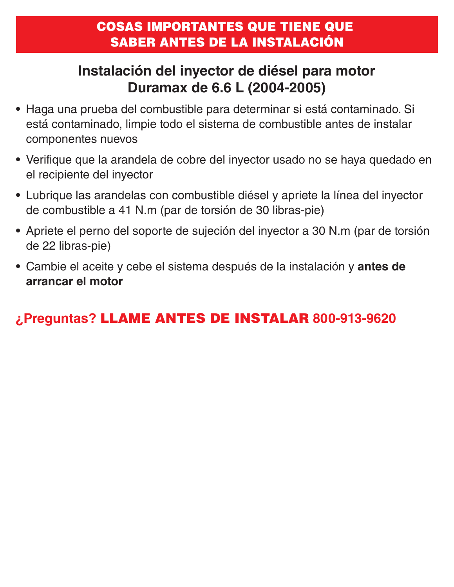# **Instalación del inyector de diésel para motor Duramax de 6.6 L (2004-2005)**

- **•** Haga una prueba del combustible para determinar si está contaminado. Si está contaminado, limpie todo el sistema de combustible antes de instalar componentes nuevos
- **•** Verifique que la arandela de cobre del inyector usado no se haya quedado en el recipiente del inyector
- **•** Lubrique las arandelas con combustible diésel y apriete la línea del inyector de combustible a 41 N.m (par de torsión de 30 libras-pie)
- **•** Apriete el perno del soporte de sujeción del inyector a 30 N.m (par de torsión de 22 libras-pie)
- **•** Cambie el aceite y cebe el sistema después de la instalación y **antes de arrancar el motor**

# **¿Preguntas?** LLAME ANTES DE INSTALAR **800-913-9620**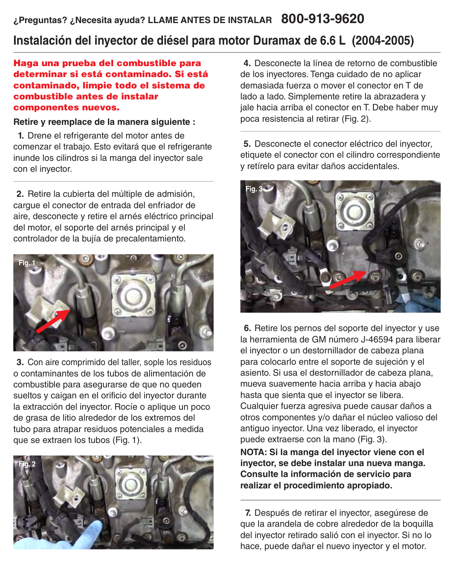## **Instalación del inyector de diésel para motor Duramax de 6.6 L (2004-2005)**

#### Haga una prueba del combustible para determinar si está contaminado. Si está contaminado, limpie todo el sistema de combustible antes de instalar componentes nuevos.

#### **Retire y reemplace de la manera siguiente :**

 **1.** Drene el refrigerante del motor antes de comenzar el trabajo. Esto evitará que el refrigerante inunde los cilindros si la manga del inyector sale con el inyector.

 **2.** Retire la cubierta del múltiple de admisión, cargue el conector de entrada del enfriador de aire, desconecte y retire el arnés eléctrico principal del motor, el soporte del arnés principal y el controlador de la bujía de precalentamiento.



 **3.** Con aire comprimido del taller, sople los residuos o contaminantes de los tubos de alimentación de combustible para asegurarse de que no queden sueltos y caigan en el orificio del inyector durante la extracción del inyector. Rocíe o aplique un poco de grasa de litio alrededor de los extremos del tubo para atrapar residuos potenciales a medida que se extraen los tubos (Fig. 1).



 **4.** Desconecte la línea de retorno de combustible de los inyectores. Tenga cuidado de no aplicar demasiada fuerza o mover el conector en T de lado a lado. Simplemente retire la abrazadera y jale hacia arriba el conector en T. Debe haber muy poca resistencia al retirar (Fig. 2).

 **5.** Desconecte el conector eléctrico del inyector, etiquete el conector con el cilindro correspondiente y retírelo para evitar daños accidentales.



 **6.** Retire los pernos del soporte del inyector y use la herramienta de GM número J-46594 para liberar el inyector o un destornillador de cabeza plana para colocarlo entre el soporte de sujeción y el asiento. Si usa el destornillador de cabeza plana, mueva suavemente hacia arriba y hacia abajo hasta que sienta que el inyector se libera. Cualquier fuerza agresiva puede causar daños a otros componentes y/o dañar el núcleo valioso del antiguo inyector. Una vez liberado, el inyector puede extraerse con la mano (Fig. 3).

**NOTA: Si la manga del inyector viene con el inyector, se debe instalar una nueva manga. Consulte la información de servicio para realizar el procedimiento apropiado.**

 **7.** Después de retirar el inyector, asegúrese de que la arandela de cobre alrededor de la boquilla del inyector retirado salió con el inyector. Si no lo hace, puede dañar el nuevo inyector y el motor.